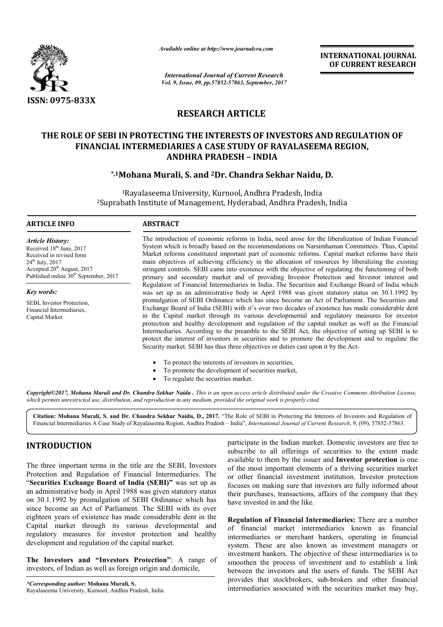

*Available online at http://www.journal http://www.journalcra.com*

*International Journal of Current Research Vol. 9, Issue, 09, pp.57852-57863, September, 2017* **INTERNATIONAL JOURNAL OF CURRENT RESEARCH** 

## **RESEARCH ARTICLE**

# **THE ROLE OF SEBI IN PROTECTING THE INTERESTS OF INVESTORS AND REGULATION OF FINANCIAL INTERMEDIARIES A CASE STUDY OF RAYALASEEMA REGION, ANDHRA PRADESH – INDIA** THE ROLE OF SEBI IN PROTECTING THE INTERESTS OF INVESTORS AND REGULA'<br>FINANCIAL INTERMEDIARIES A CASE STUDY OF RAYALASEEMA REGION,<br>ANDHRA PRADESH - INDIA<br><sup>\*,1</sup>Mohana Murali, S. and <sup>2</sup>Dr. Chandra Sekhar Naidu, D.

## **\*,1Mohana Murali Murali, S. and 2Dr. Chandra Sekhar Naidu**

<sup>1</sup>Rayalaseema University, Kurnool, Andhra Pradesh, India <sup>2</sup>Suprabath Institute of Management, Hyderabad, Andhra Pradesh, India

#### **ARTICLE INFO ABSTRACT**

*Article History:* Received 18<sup>th</sup> June, 2017 Received in revised form  $24^{th}$  July,  $2017$ Accepted 20<sup>th</sup> August, 2017 Published online 30<sup>th</sup> September, 2017

*Key words:*

SEBI, Investor Protection, Financial Intermediaries, Capital Market.

The introduction of economic reforms in India, need arose for the liberalization of Indian Financial The introduction of economic reforms in India, need arose for the liberalization of Indian Financial System which is broadly based on the recommendations on Narsimhaman Committees. Thus, Capital Market reforms constituted important part of economic reforms. Capital market reforms have their main objectives of achieving efficiency in the allocation of resources by liberalizing the existing stringent controls. SEBI came into existence with the objective of regulating the functioning of both main objectives of achieving efficiency in the allocation of resources by liberalizing the existing stringent controls. SEBI came into existence with the objective of regulating the functioning of both primary and secondar Regulation of Financial Intermediaries in India. The Securities and Exchange Board of India which was set up as an administrative body in April 1988 was given statutory status on 30.1.1992 by was set up as an administrative body in April 1988 was given statutory status on 30.1.1992 by promulgation of SEBI Ordinance which has since become an Act of Parliament. The Securities and Exchange Board of India (SEBI) with it's over two decades of existence has made considerable dent in the Capital market through its various developmental and regulatory measures for investor Exchange Board of India (SEBI) with it's over two decades of existence has made considerable dent<br>in the Capital market through its various developmental and regulatory measures for investor<br>protection and healthy developm Intermediaries. According to the preamble to the SEBI Act, the objective of setting up SEBI is to Intermediaries. According to the preamble to the SEBI Act, the objective of setting up SEBI is to protect the interest of investors in securities and to promote the development and to regulate the Security market. SEBI has thus three objectives or duties cast upon it by the Act-**NAL JOURNAL**<br> **NAL JOURNAL**<br> **NAL JOURNAL**<br> **NT RESEARCH**<br> **NT RESEARCH**<br> **NT RESEARCH**<br> **NT RESEARCH**<br> **NT RESEARCH**<br> **NT RESEARCH**<br> **NTION OF**<br> **I**,<br> **NTION OF**<br> **I**,<br> **OF**<br> **I**, Capitar and of India which<br> **COURDAL**<br>

- $\bullet$ To protect the interests of investors in securities,
- $\bullet$ To promote the development of securities market,
- $\bullet$ To regulate the securities market.

Copyright©2017, Mohana Murali and Dr. Chandra Sekhar Naidu . This is an open access article distributed under the Creative Commons Attribution License, which permits unrestricted use, distribution, and reproduction in any medium, provided the original work is properly cited.

Citation: Mohana Murali, S. and Dr. Chandra Sekhar Naidu, D., 2017. "The Role of SEBI in Protecting the Interests of Investors and Regulation of Financial Intermediaries A Case Study of Rayalaseema Region, Andhra Pradesh – India", *International Journal of Current Research Current Research*, 9, (09), 57852-57863.

## **INTRODUCTION**

The three important terms in the title are the SEBI, Investors Protection and Regulation of Financial Intermediaries. The "**Securities Exchange Board of India (SEBI)"** was set up as an administrative body in April 1988 was given statutory status on 30.1.1992 by promulgation of SEBI Ordinance which has since become an Act of Parliament. The SEBI with its over eighteen years of existence has made considerable dent in the Capital market through its various developmental and regulatory measures for investor protection and healthy development and regulation of the capital market.

**The Investors and "Investors Protection"** : A range of investors, of Indian as well as foreign origin and domicile,

participate in the Indian market. Domestic investors are free to subscribe to all offerings of securities to the extent made available to them by the issuer and **Investor protection** is one of the most important elements of a thriving securities market or other financial investment institution. Investor protection focuses on making sure that investors are fully informed about their purchases, transactions, affairs of the company that they have invested in and the like. participate in the Indian market. Domestic investors are free to subscribe to all offerings of securities to the extent made available to them by the issuer and **Investor protection** is one of the most important elements of a thriving securities market<br>or other financial investment institution. Investor protection<br>focuses on making sure that investors are fully informed about<br>their purchases, transactions, af

**Regulation of Financial Intermediaries:** There are a number of financial market intermediaries known as financial intermediaries or merchant bankers, operating in financial system. These are also known as investment managers or investment bankers. The objective of these intermediaries is to smoothen the process of investment and to establish a link between the investors and the users of funds. The SEBI Act provides that stockbrokers, sub-brokers and other financial intermediaries associated with the securities market may buy, cial market intermediaries known as financial<br>iaries or merchant bankers, operating in financial<br>These are also known as investment managers or<br>intermediaries is to<br>the process of investment and to establish a link<br>the inv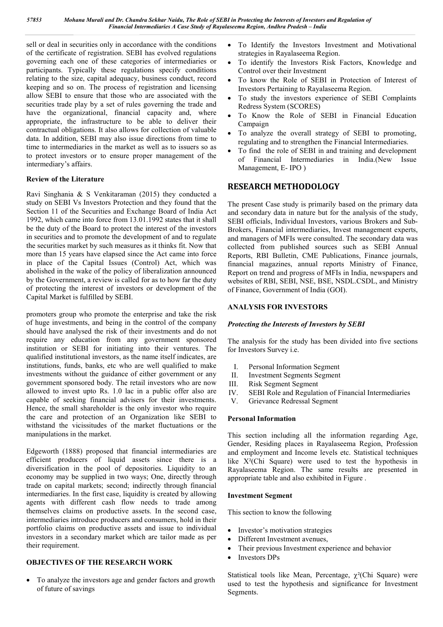sell or deal in securities only in accordance with the conditions of the certificate of registration. SEBI has evolved regulations governing each one of these categories of intermediaries or participants. Typically these regulations specify conditions relating to the size, capital adequacy, business conduct, record keeping and so on. The process of registration and licensing allow SEBI to ensure that those who are associated with the securities trade play by a set of rules governing the trade and have the organizational, financial capacity and, where appropriate, the infrastructure to be able to deliver their contractual obligations. It also allows for collection of valuable data. In addition, SEBI may also issue directions from time to time to intermediaries in the market as well as to issuers so as to protect investors or to ensure proper management of the intermediary's affairs.

#### **Review of the Literature**

Ravi Singhania & S Venkitaraman (2015) they conducted a study on SEBI Vs Investors Protection and they found that the Section 11 of the Securities and Exchange Board of India Act 1992, which came into force from 13.01.1992 states that it shall be the duty of the Board to protect the interest of the investors in securities and to promote the development of and to regulate the securities market by such measures as it thinks fit. Now that more than 15 years have elapsed since the Act came into force in place of the Capital Issues (Control) Act, which was abolished in the wake of the policy of liberalization announced by the Government, a review is called for as to how far the duty of protecting the interest of investors or development of the Capital Market is fulfilled by SEBI.

promoters group who promote the enterprise and take the risk of huge investments, and being in the control of the company should have analysed the risk of their investments and do not require any education from any government sponsored institution or SEBI for initiating into their ventures. The qualified institutional investors, as the name itself indicates, are institutions, funds, banks, etc who are well qualified to make investments without the guidance of either government or any government sponsored body. The retail investors who are now allowed to invest upto Rs. 1.0 lac in a public offer also are capable of seeking financial advisers for their investments. Hence, the small shareholder is the only investor who require the care and protection of an Organization like SEBI to withstand the vicissitudes of the market fluctuations or the manipulations in the market.

Edgeworth (1888) proposed that financial intermediaries are efficient producers of liquid assets since there is a diversification in the pool of depositories. Liquidity to an economy may be supplied in two ways; One, directly through trade on capital markets; second; indirectly through financial intermediaries. In the first case, liquidity is created by allowing agents with different cash flow needs to trade among themselves claims on productive assets. In the second case, intermediaries introduce producers and consumers, hold in their portfolio claims on productive assets and issue to individual investors in a secondary market which are tailor made as per their requirement.

#### **OBJECTIVES OF THE RESEARCH WORK**

 To analyze the investors age and gender factors and growth of future of savings

- To Identify the Investors Investment and Motivational strategies in Rayalaseema Region.
- To identify the Investors Risk Factors, Knowledge and Control over their Investment
- To know the Role of SEBI in Protection of Interest of Investors Pertaining to Rayalaseema Region.
- To study the investors experience of SEBI Complaints Redress System (SCORES)
- To Know the Role of SEBI in Financial Education Campaign
- To analyze the overall strategy of SEBI to promoting, regulating and to strengthen the Financial Intermediaries.
- To find the role of SEBI in and training and development of Financial Intermediaries in India.(New Issue Management, E- IPO )

#### **RESEARCH METHODOLOGY**

The present Case study is primarily based on the primary data and secondary data in nature but for the analysis of the study, SEBI officials, Individual Investors, various Brokers and Sub-Brokers, Financial intermediaries, Invest management experts, and managers of MFIs were consulted. The secondary data was collected from published sources such as SEBI Annual Reports, RBI Bulletin, CME Publications, Finance journals, financial magazines, annual reports Ministry of Finance, Report on trend and progress of MFIs in India, newspapers and websites of RBI, SEBI, NSE, BSE, NSDL.CSDL, and Ministry of Finance, Government of India (GOI).

#### **ANALYSIS FOR INVESTORS**

#### *Protecting the Interests of Investors by SEBI*

The analysis for the study has been divided into five sections for Investors Survey i.e.

- I. Personal Information Segment
- II. Investment Segments Segment
- III. Risk Segment Segment
- IV. SEBI Role and Regulation of Financial Intermediaries
- V. Grievance Redressal Segment

#### **Personal Information**

This section including all the information regarding Age, Gender, Residing places in Rayalaseema Region, Profession and employment and Income levels etc. Statistical techniques like X²(Chi Square) were used to test the hypothesis in Rayalaseema Region. The same results are presented in appropriate table and also exhibited in Figure .

#### **Investment Segment**

This section to know the following

- Investor's motivation strategies
- Different Investment avenues,
- Their previous Investment experience and behavior
- Investors DPs

Statistical tools like Mean, Percentage,  $\chi^2$ (Chi Square) were used to test the hypothesis and significance for Investment Segments.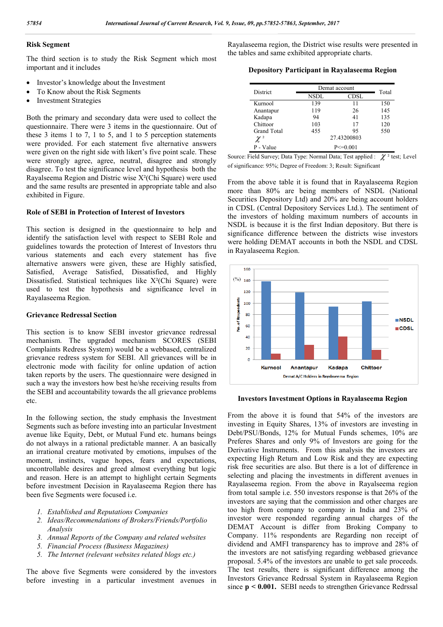#### **Risk Segment**

The third section is to study the Risk Segment which most important and it includes

- Investor's knowledge about the Investment
- To Know about the Risk Segments
- Investment Strategies

Both the primary and secondary data were used to collect the questionnaire. There were 3 items in the questionnaire. Out of these 3 items 1 to 7, 1 to 5, and 1 to 5 perception statements were provided. For each statement five alternative answers were given on the right side with likert's five point scale. These were strongly agree, agree, neutral, disagree and strongly disagree. To test the significance level and hypothesis both the Rayalseema Region and Distric wise X²(Chi Square) were used and the same results are presented in appropriate table and also exhibited in Figure.

#### **Role of SEBI in Protection of Interest of Investors**

This section is designed in the questionnaire to help and identify the satisfaction level with respect to SEBI Role and guidelines towards the protection of Interest of Investors thru various statements and each every statement has five alternative answers were given, these are Highly satisfied, Satisfied, Average Satisfied, Dissatisfied, and Highly Dissatisfied. Statistical techniques like X²(Chi Square) were used to test the hypothesis and significance level in Rayalaseema Region.

#### **Grievance Redressal Section**

This section is to know SEBI investor grievance redressal mechanism. The upgraded mechanism SCORES (SEBI Complaints Redress System) would be a webbased, centralized grievance redress system for SEBI. All grievances will be in electronic mode with facility for online updation of action taken reports by the users. The questionnaire were designed in such a way the investors how best he/she receiving results from the SEBI and accountability towards the all grievance problems etc.

In the following section, the study emphasis the Investment Segments such as before investing into an particular Investment avenue like Equity, Debt, or Mutual Fund etc. humans beings do not always in a rational predictable manner. A an basically an irrational creature motivated by emotions, impulses of the moment, instincts, vague hopes, fears and expectations, uncontrollable desires and greed almost everything but logic and reason. Here is an attempt to highlight certain Segments before investment Decision in Rayalaseema Region there has been five Segments were focused i.e.

- *1. Established and Reputations Companies*
- *2. Ideas/Recommendations of Brokers/Friends/Portfolio Analysis*
- *3. Annual Reports of the Company and related websites*
- *5. Financial Process (Business Magazines)*
- *5. The Internet (relevant websites related blogs etc.)*

The above five Segments were considered by the investors before investing in a particular investment avenues in Rayalaseema region, the District wise results were presented in the tables and same exhibited appropriate charts.

#### **Depository Participant in Rayalaseema Region**

| District    | Demat account | Total         |     |  |
|-------------|---------------|---------------|-----|--|
|             | <b>NSDL</b>   | <b>CDSL</b>   |     |  |
| Kurnool     | 139           | 11            | 150 |  |
| Anantapur   | 119           | 26            | 145 |  |
| Kadapa      | 94            | 41            | 135 |  |
| Chittoor    | 103           | 17            | 120 |  |
| Grand Total | 455           | 95            | 550 |  |
|             |               | 27.43200803   |     |  |
| P - Value   |               | $P \le 0.001$ |     |  |

Source: Field Survey; Data Type: Normal Data; Test applied :  $\chi^2$  test; Level of significance: 95%; Degree of Freedom: 3; Result: Significant

From the above table it is found that in Rayalaseema Region more than 80% are being members of NSDL (National Securities Depository Ltd) and 20% are being account holders in CDSL (Central Depository Services Ltd.). The sentiment of the investors of holding maximum numbers of accounts in NSDL is because it is the first Indian depository. But there is significance difference between the districts wise investors were holding DEMAT accounts in both the NSDL and CDSL in Rayalaseema Region.



**Investors Investment Options in Rayalaseema Region**

From the above it is found that 54% of the investors are investing in Equity Shares, 13% of investors are investing in Debt/PSU/Bonds, 12% for Mutual Funds schemes, 10% are Preferes Shares and only 9% of Investors are going for the Derivative Instruments. From this analysis the investors are expecting High Return and Low Risk and they are expecting risk free securities are also. But there is a lot of difference in selecting and placing the investments in different avenues in Rayalaseema region. From the above in Rayalseema region from total sample i.e. 550 investors response is that 26% of the investors are saying that the commission and other charges are too high from company to company in India and 23% of investor were responded regarding annual charges of the DEMAT Account is differ from Broking Company to Company. 11% respondents are Regarding non receipt of dividend and AMFI transparency has to improve and 28% of the investors are not satisfying regarding webbased grievance proposal. 5.4% of the investors are unable to get sale proceeds. The test results, there is significant difference among the Investors Grievance Redrssal System in Rayalaseema Region since **p** < **0.001.** SEBI needs to strengthen Grievance Redrssal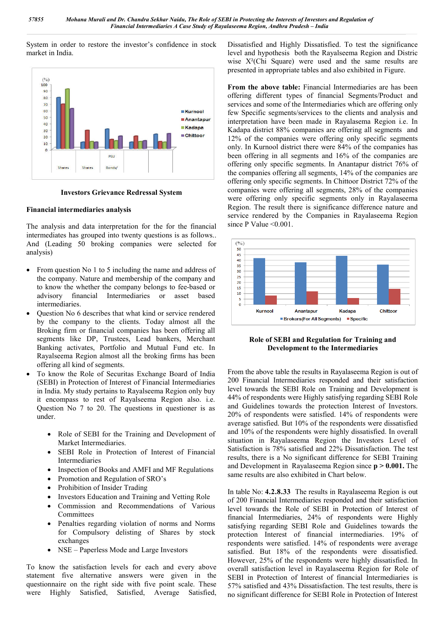System in order to restore the investor's confidence in stock market in India.



**Investors Grievance Redressal System**

#### **Financial intermediaries analysis**

The analysis and data interpretation for the for the financial intermediates has grouped into twenty questions is as follows.. And (Leading 50 broking companies were selected for analysis)

- From question No 1 to 5 including the name and address of the company. Nature and membership of the company and to know the whether the company belongs to fee-based or advisory financial Intermediaries or asset based intermediaries.
- Question No 6 describes that what kind or service rendered by the company to the clients. Today almost all the Broking firm or financial companies has been offering all segments like DP, Trustees, Lead bankers, Merchant Banking activates, Portfolio and Mutual Fund etc. In Rayalseema Region almost all the broking firms has been offering all kind of segments.
- To know the Role of Securitas Exchange Board of India (SEBI) in Protection of Interest of Financial Intermediaries in India. My study pertains to Rayalseema Region only buy it encompass to rest of Rayalseema Region also. i.e. Question No 7 to 20. The questions in questioner is as under.
	- Role of SEBI for the Training and Development of Market Intermediaries.
	- SEBI Role in Protection of Interest of Financial Intermediaries
	- Inspection of Books and AMFI and MF Regulations
	- Promotion and Regulation of SRO's
	- Prohibition of Insider Trading
	- Investors Education and Training and Vetting Role
	- Commission and Recommendations of Various Committees
	- Penalties regarding violation of norms and Norms for Compulsory delisting of Shares by stock exchanges
	- NSE Paperless Mode and Large Investors

To know the satisfaction levels for each and every above statement five alternative answers were given in the questionnaire on the right side with five point scale. These were Highly Satisfied, Satisfied, Average Satisfied, Dissatisfied and Highly Dissatisfied. To test the significance level and hypothesis both the Rayalseema Region and Distric wise X²(Chi Square) were used and the same results are presented in appropriate tables and also exhibited in Figure.

**From the above table:** Financial Intermediaries are has been offering different types of financial Segments/Product and services and some of the Intermediaries which are offering only few Specific segments/services to the clients and analysis and interpretation have been made in Rayalasema Region i.e. In Kadapa district 88% companies are offering all segments and 12% of the companies were offering only specific segments only. In Kurnool district there were 84% of the companies has been offering in all segments and 16% of the companies are offering only specific segments. In Anantapur district 76% of the companies offering all segments, 14% of the companies are offering only specific segments. In Chittoor District 72% of the companies were offering all segments, 28% of the companies were offering only specific segments only in Rayalaseema Region. The result there is significance difference nature and service rendered by the Companies in Rayalaseema Region since P Value < 0.001.



**Role of SEBI and Regulation for Training and Development to the Intermediaries**

From the above table the results in Rayalaseema Region is out of 200 Financial Intermediaries responded and their satisfaction level towards the SEBI Role on Training and Development is 44% of respondents were Highly satisfying regarding SEBI Role and Guidelines towards the protection Interest of Investors. 20% of respondents were satisfied. 14% of respondents were average satisfied. But 10% of the respondents were dissatisfied and 10% of the respondents were highly dissatisfied. In overall situation in Rayalaseema Region the Investors Level of Satisfaction is 78% satisfied and 22% Dissatisfaction. The test results, there is a No significant difference for SEBI Training and Development in Rayalaseema Region since **p > 0.001.** The same results are also exhibited in Chart below.

In table No: **4.2.8.33** The results in Rayalaseema Region is out of 200 Financial Intermediaries responded and their satisfaction level towards the Role of SEBI in Protection of Interest of financial Intermediaries, 24% of respondents were Highly satisfying regarding SEBI Role and Guidelines towards the protection Interest of financial intermediaries. 19% of respondents were satisfied. 14% of respondents were average satisfied. But 18% of the respondents were dissatisfied. However, 25% of the respondents were highly dissatisfied. In overall satisfaction level in Rayalaseema Region for Role of SEBI in Protection of Interest of financial Intermediaries is 57% satisfied and 43% Dissatisfaction. The test results, there is no significant difference for SEBI Role in Protection of Interest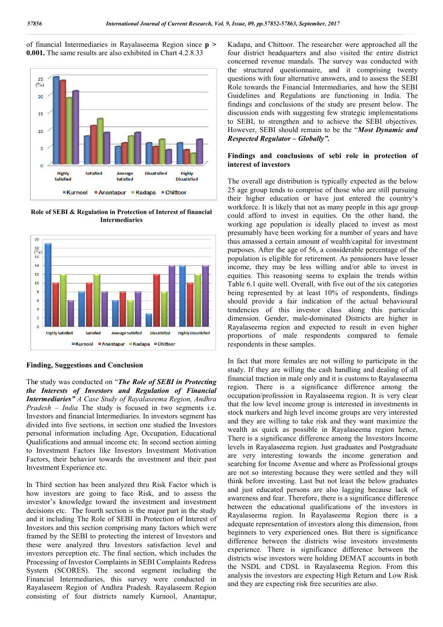of financial Intermediaries in Rayalaseema Region since **p > 0.001.** The same results are also exhibited in Chart 4.2.8.33



**Role of SEBI & Regulation in Protection of Interest of financial Intermediaries** 



#### **Finding, Suggestions and Conclusion**

Th**e** study was conducted on "*The Role of SEBI in Protecting the Interests of Investors and Regulation of Financial Intermediaries" A Case Study of Rayalaseema Region, Andhra Pradesh – India* The study is focused in two segments i.e. Investors and financial Intermediaries. In investors segment has divided into five sections, in section one studied the Investors personal information including Age, Occupation, Educational Qualifications and annual income etc. In second section aiming to Investment Factors like Investors Investment Motivation Factors, their behavior towards the investment and their past Investment Experience etc.

In Third section has been analyzed thru Risk Factor which is how investors are going to face Risk, and to assess the investor's knowledge toward the investment and investment decisions etc. The fourth section is the major part in the study and it including The Role of SEBI in Protection of Interest of Investors and this section comprising many factors which were framed by the SEBI to protecting the interest of Investors and these were analyzed thru Investors satisfaction level and investors perception etc. The final section, which includes the Processing of Investor Complaints in SEBI Complaints Redress System (SCORES). The second segment including the Financial Intermediaries, this survey were conducted in Rayalaseem Region of Andhra Pradesh. Rayalaseem Region consisting of four districts namely Kurnool, Anantapur,

Kadapa, and Chittoor. The researcher were approached all the four district headquarters and also visited the entire district concerned revenue mandals. The survey was conducted with the structured questionnaire, and it comprising twenty questions with four alternative answers, and to assess the SEBI Role towards the Financial Intermediaries, and how the SEBI Guidelines and Regulations are functioning in India. The findings and conclusions of the study are present below. The discussion ends with suggesting few strategic implementations to SEBI, to strengthen and to achieve the SEBI objectives. However, SEBI should remain to be the "*Most Dynamic and Respected Regulator – Globally".*

#### **Findings and conclusions of sebi role in protection of interest of investors**

The overall age distribution is typically expected as the below 25 age group tends to comprise of those who are still pursuing their higher education or have just entered the country's workforce. It is likely that not as many people in this age group could afford to invest in equities. On the other hand, the working age population is ideally placed to invest as most presumably have been working for a number of years and have thus amassed a certain amount of wealth/capital for investment purposes. After the age of 56, a considerable percentage of the population is eligible for retirement. As pensioners have lesser income, they may be less willing and/or able to invest in equities. This reasoning seems to explain the trends within Table 6.1 quite well. Overall, with five out of the six categories being represented by at least 10% of respondents, findings should provide a fair indication of the actual behavioural tendencies of this investor class along this particular dimension. Gender, male-dominated Districts are higher in Rayalaseema region and expected to result in even higher proportions of male respondents compared to female respondents in these samples.

In fact that more females are not willing to participate in the study. If they are willing the cash handling and dealing of all financial traction in male only and it is customs to Rayalaseema region. There is a significance difference among the occupation/profession in Rayalaseema region. It is very clear that the low level income group is interested in investments in stock markers and high level income groups are very interested and they are willing to take risk and they want maximize the wealth as quick as possible in Rayalaseema region hence, There is a significance difference among the Investors Income levels in Rayalaseema region. Just graduates and Postgraduate are very interesting towards the income generation and searching for Income Avenue and where as Professional groups are not so interesting because they were settled and they will think before investing. Last but not least the below graduates and just educated persons are also lagging because lack of awareness and fear. Therefore, there is a significance difference between the educational qualifications of the investors in Rayalaseema region. In Rayalaseema Region there is a adequate representation of investors along this dimension, from beginners to very experienced ones. But there is significance difference between the districts wise investors investments experience. There is significance difference between the districts wise investors were holding DEMAT accounts in both the NSDL and CDSL in Rayalaseema Region. From this analysis the investors are expecting High Return and Low Risk and they are expecting risk free securities are also.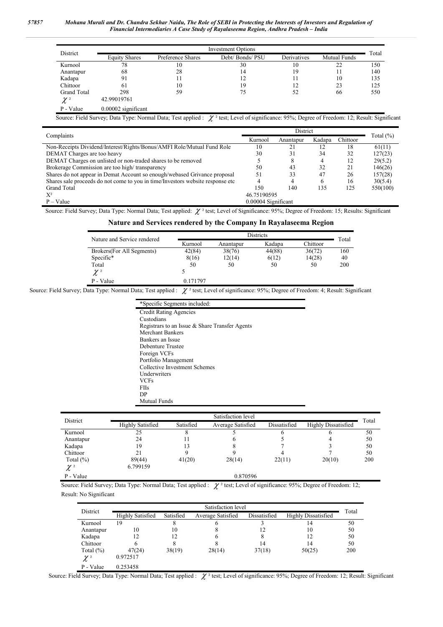*57857 Mohana Murali and Dr. Chandra Sekhar Naidu, The Role of SEBI in Protecting the Interests of Investors and Regulation of Financial Intermediaries A Case Study of Rayalaseema Region, Andhra Pradesh – India*

| District             | <b>Investment Options</b> |                   |                  |             |                     |       |  |
|----------------------|---------------------------|-------------------|------------------|-------------|---------------------|-------|--|
|                      | <b>Equity Shares</b>      | Preference Shares | Debt/ Bonds/ PSU | Derivatives | <b>Mutual Funds</b> | Total |  |
| Kurnool              | 78                        | 10                | 30               | 10          | 22                  | 150   |  |
| Anantapur            | 68                        | 28                | 14               | 19          | 11                  | 140   |  |
| Kadapa               | 91                        |                   | 12               | 11          | 10                  | 135   |  |
| Chittoor             | 61                        | 10                | 19               | 12          | 23                  | 125   |  |
| <b>Grand Total</b>   | 298                       | 59                | 75               | 52          | 66                  | 550   |  |
| $\mathcal{X}$ $^{2}$ | 42.99019761               |                   |                  |             |                     |       |  |
| P - Value            | $0.00002$ significant     |                   |                  |             |                     |       |  |

Source: Field Survey; Data Type: Normal Data; Test applied :  $\chi^2$  test; Level of significance: 95%; Degree of Freedom: 12; Result: Significant

| Complaints                                                                      | District            |           |        |          | Total $(\% )$ |
|---------------------------------------------------------------------------------|---------------------|-----------|--------|----------|---------------|
|                                                                                 | Kurnool             | Anantapur | Kadapa | Chittoor |               |
| Non-Receipts Dividend/Interest/Rights/Bonus/AMFI Role/Mutual Fund Role          | 10                  | 21        | 12     | 18       | 61(11)        |
| DEMAT Charges are too heavy                                                     | 30                  | 31        | 34     | 32       | 127(23)       |
| DEMAT Charges on unlisted or non-traded shares to be removed                    |                     | 8         |        |          | 29(5.2)       |
| Brokerage Commission are too high/transparency                                  | 50                  | 43        | 32     |          | 146(26)       |
| Shares do not appear in Demat Account so enough/webased Grivance proposal       | 51                  | 33        | 47     | 26       | 157(28)       |
| Shares sale proceeds do not come to you in time/Investors website response etc. |                     | 4         | b      | 16       | 30(5.4)       |
| Grand Total                                                                     | 150                 | 140       | 135    | 125      | 550(100)      |
| $X^2$                                                                           | 46.75190595         |           |        |          |               |
| $P - Value$                                                                     | 0.00004 Significant |           |        |          |               |

Source: Field Survey; Data Type: Normal Data; Test applied:  $\chi^2$  test; Level of Significance: 95%; Degree of Freedom: 15; Results: Significant

#### **Nature and Services rendered by the Company In Rayalaseema Region**

| Nature and Service rendered | Districts |           |        |          | Total |  |
|-----------------------------|-----------|-----------|--------|----------|-------|--|
|                             | Kurnool   | Anantapur | Kadapa | Chittoor |       |  |
| Brokers (For All Segments)  | 42(84)    | 38(76)    | 44(88) | 36(72)   | 160   |  |
| Specific*                   | 8(16)     | 12(14)    | 6(12)  | 14(28)   | 40    |  |
| Total                       | 50        | 50        | 50     | 50       | 200   |  |
| $\mathcal{X}$ $^{2}$        |           |           |        |          |       |  |
| P - Value                   | 0.171797  |           |        |          |       |  |

Source: Field Survey; Data Type: Normal Data; Test applied :  $\chi^2$  test; Level of significance: 95%; Degree of Freedom: 4; Result: Significant

| *Specific Segments included:                   |
|------------------------------------------------|
| <b>Credit Rating Agencies</b>                  |
| Custodians                                     |
| Registrars to an Issue & Share Transfer Agents |
| Merchant Bankers                               |
| Bankers an Issue                               |
| Debenture Trustee                              |
| Foreign VCFs                                   |
| Portfolio Management                           |
| Collective Investment Schemes                  |
| <b>Underwriters</b>                            |
| VCFs                                           |
| FIIs                                           |
| DР                                             |
| Mutual Funds                                   |

| District              | Satisfaction level |           |                   |              |                     |       |
|-----------------------|--------------------|-----------|-------------------|--------------|---------------------|-------|
|                       | Highly Satisfied   | Satisfied | Average Satisfied | Dissatisfied | Highly Dissatisfied | Total |
| Kurnool               | 25                 |           |                   | o            |                     | 50    |
| Anantapur             | 24                 |           |                   |              |                     | 50    |
| Kadapa                | 19                 |           |                   |              |                     | 50    |
| Chittoor              | 21                 |           |                   |              |                     | 50    |
| Total $(\%)$          | 89(44)             | 41(20)    | 28(14)            | 22(11)       | 20(10)              | 200   |
| $\gamma$ <sup>2</sup> | 6.799159           |           |                   |              |                     |       |

Source: Field Survey; Data Type: Normal Data; Test applied :  $\chi^2$  test; Level of significance: 95%; Degree of Freedom: 12; Result: No Significant

 $P - Value$  0.870596

| District                         | Satisfaction level      |           |                   |              |                            |       |
|----------------------------------|-------------------------|-----------|-------------------|--------------|----------------------------|-------|
|                                  | <b>Highly Satisfied</b> | Satisfied | Average Satisfied | Dissatisfied | <b>Highly Dissatisfied</b> | Total |
| Kurnool                          | 19                      | Λ         | b                 |              | 14                         | 50    |
| Anantapur                        | 10                      | 10        | 8                 | 12           | 10                         | 50    |
| Kadapa                           | 12                      | 12        | 6                 | 8            | 12                         | 50    |
| Chittoor                         | 6                       |           |                   | 14           | 14                         | 50    |
| Total $(\%)$                     | 47(24)                  | 38(19)    | 28(14)            | 37(18)       | 50(25)                     | 200   |
| $\chi$ $^{\scriptscriptstyle 2}$ | 0.972517                |           |                   |              |                            |       |
| P - Value                        | 0.253458                |           |                   |              |                            |       |

Source: Field Survey; Data Type: Normal Data; Test applied :  $\chi^2$  test; Level of significance: 95%; Degree of Freedom: 12; Result: Significant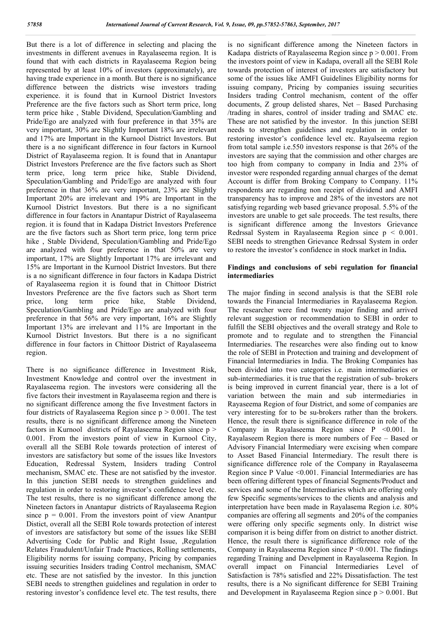But there is a lot of difference in selecting and placing the investments in different avenues in Rayalaseema region. It is found that with each districts in Rayalaseema Region being represented by at least 10% of investors (approximately), are having trade experience in a month. But there is no significance difference between the districts wise investors trading experience. it is found that in Kurnool District Investors Preference are the five factors such as Short term price, long term price hike , Stable Dividend, Speculation/Gambling and Pride/Ego are analyzed with four preference in that 35% are very important, 30% are Slightly Important 18% are irrelevant and 17% are Important in the Kurnool District Investors. But there is a no significant difference in four factors in Kurnool District of Rayalaseema region. It is found that in Anantapur District Investors Preference are the five factors such as Short term price, long term price hike, Stable Dividend, Speculation/Gambling and Pride/Ego are analyzed with four preference in that 36% are very important, 23% are Slightly Important 20% are irrelevant and 19% are Important in the Kurnool District Investors. But there is a no significant difference in four factors in Anantapur District of Rayalaseema region. it is found that in Kadapa District Investors Preference are the five factors such as Short term price, long term price hike , Stable Dividend, Speculation/Gambling and Pride/Ego are analyzed with four preference in that 50% are very important, 17% are Slightly Important 17% are irrelevant and 15% are Important in the Kurnool District Investors. But there is a no significant difference in four factors in Kadapa District of Rayalaseema region it is found that in Chittoor District Investors Preference are the five factors such as Short term price, long term price hike, Stable Dividend, Speculation/Gambling and Pride/Ego are analyzed with four preference in that 56% are very important, 16% are Slightly Important 13% are irrelevant and 11% are Important in the Kurnool District Investors. But there is a no significant difference in four factors in Chittoor District of Rayalaseema region.

There is no significance difference in Investment Risk, Investment Knowledge and control over the investment in Rayalaseema region. The investors were considering all the five factors their investment in Rayalaseema region and there is no significant difference among the five Investment factors in four districts of Rayalaseema Region since  $p > 0.001$ . The test results, there is no significant difference among the Nineteen factors in Kurnool districts of Rayalaseema Region since p > 0.001. From the investors point of view in Kurnool City, overall all the SEBI Role towards protection of interest of investors are satisfactory but some of the issues like Investors Education, Redressal System, Insiders trading Control mechanism, SMAC etc. These are not satisfied by the investor. In this junction SEBI needs to strengthen guidelines and regulation in order to restoring investor's confidence level etc. The test results, there is no significant difference among the Nineteen factors in Anantapur districts of Rayalaseema Region since  $p = 0.001$ . From the investors point of view Anantpur Distict, overall all the SEBI Role towards protection of interest of investors are satisfactory but some of the issues like SEBI Advertising Code for Public and Right Issue, ,Regulation Relates Fraudulent/Unfair Trade Practices, Rolling settlements, Eligibility norms for issuing company, Pricing by companies issuing securities Insiders trading Control mechanism, SMAC etc. These are not satisfied by the investor. In this junction SEBI needs to strengthen guidelines and regulation in order to restoring investor's confidence level etc. The test results, there

is no significant difference among the Nineteen factors in Kadapa districts of Rayalaseema Region since p > 0.001. From the investors point of view in Kadapa, overall all the SEBI Role towards protection of interest of investors are satisfactory but some of the issues like AMFI Guidelines Eligibility norms for issuing company, Pricing by companies issuing securities Insiders trading Control mechanism, content of the offer documents, Z group delisted shares, Net – Based Purchasing /trading in shares, control of insider trading and SMAC etc. These are not satisfied by the investor. In this junction SEBI needs to strengthen guidelines and regulation in order to restoring investor's confidence level etc. Rayalseema region from total sample i.e.550 investors response is that 26% of the investors are saying that the commission and other charges are too high from company to company in India and 23% of investor were responded regarding annual charges of the demat Account is differ from Broking Company to Company. 11% respondents are regarding non receipt of dividend and AMFI transparency has to improve and 28% of the investors are not satisfying regarding web based grievance proposal. 5.5% of the investors are unable to get sale proceeds. The test results, there is significant difference among the Investors Grievance Redrssal System in Rayalaseema Region since p < 0.001. SEBI needs to strengthen Grievance Redrssal System in order to restore the investor's confidence in stock market in India**.**

#### **Findings and conclusions of sebi regulation for financial intermediaries**

The major finding in second analysis is that the SEBI role towards the Financial Intermediaries in Rayalaseema Region. The researcher were find twenty major finding and arrived relevant suggestion or recommendation to SEBI in order to fulfill the SEBI objectives and the overall strategy and Role to promote and to regulate and to strengthen the Financial Intermediaries. The researches were also finding out to know the role of SEBI in Protection and training and development of Financial Intermediaries in India. The Broking Companies has been divided into two categories i.e. main intermediaries or sub-intermediaries. it is true that the registration of sub- brokers is being improved in current financial year, there is a lot of variation between the main and sub intermediaries in Rayaseema Region of four District, and some of companies are very interesting for to be su-brokers rather than the brokers. Hence, the result there is significance difference in role of the Company in Rayalaseema Region since P <0.001. In Rayalaseem Region there is more numbers of Fee – Based or Advisory Financial Intermediary were excising when compare to Asset Based Financial Intermediary. The result there is significance difference role of the Company in Rayalaseema Region since P Value <0.001. Financial Intermediaries are has been offering different types of financial Segments/Product and services and some of the Intermediaries which are offering only few Specific segments/services to the clients and analysis and interpretation have been made in Rayalasema Region i.e. 80% companies are offering all segments and 20% of the companies were offering only specific segments only. In district wise comparison it is being differ from on district to another district. Hence, the result there is significance difference role of the Company in Rayalaseema Region since  $P \le 0.001$ . The findings regarding Training and Develpment in Rayalaseema Region. In overall impact on Financial Intermediaries Level of Satisfaction is 78% satisfied and 22% Dissatisfaction. The test results, there is a No significant difference for SEBI Training and Development in Rayalaseema Region since p > 0.001. But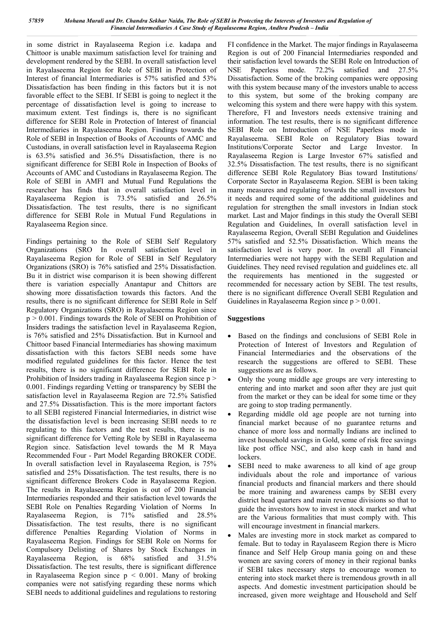in some district in Rayalaseema Region i.e. kadapa and Chittoor is unable maximum satisfaction level for training and development rendered by the SEBI. In overall satisfaction level in Rayalaseema Region for Role of SEBI in Protection of Interest of financial Intermediaries is 57% satisfied and 53% Dissatisfaction has been finding in this factors but it is not favorable effect to the SEBI. If SEBI is going to neglect it the percentage of dissatisfaction level is going to increase to maximum extent. Test findings is, there is no significant difference for SEBI Role in Protection of Interest of financial Intermediaries in Rayalaseema Region. Findings towards the Role of SEBI in Inspection of Books of Accounts of AMC and Custodians, in overall satisfaction level in Rayalaseema Region is 63.5% satisfied and 36.5% Dissatisfaction, there is no significant difference for SEBI Role in Inspection of Books of Accounts of AMC and Custodians in Rayalaseema Region. The Role of SEBI in AMFI and Mutual Fund Regulations the researcher has finds that in overall satisfaction level in Rayalaseema Region is 73.5% satisfied and 26.5% Dissatisfaction. The test results, there is no significant difference for SEBI Role in Mutual Fund Regulations in Rayalaseema Region since.

Findings pertaining to the Role of SEBI Self Regulatory Organizations (SRO In overall satisfaction level in Rayalaseema Region for Role of SEBI in Self Regulatory Organizations (SRO) is 76% satisfied and 25% Dissatisfaction. Bu it in district wise comparison it is been showing different there is variation especially Anantapur and Chittors are showing more dissatisfaction towards this factors. And the results, there is no significant difference for SEBI Role in Self Regulatory Organizations (SRO) in Rayalaseema Region since p > 0.001. Findings towards the Role of SEBI on Prohibition of Insiders tradings the satisfaction level in Rayalaseema Region, is 76% satisfied and 25% Dissatisfaction. But in Kurnool and Chittoor based Financial Intermediaries has showing maximum dissatisfaction with this factors SEBI needs some have modified regulated guidelines for this factor. Hence the test results, there is no significant difference for SEBI Role in Prohibition of Insiders trading in Rayalaseema Region since p > 0.001. Findings regarding Vetting or transparency by SEBI the satisfaction level in Rayalaseema Region are 72.5% Satisfied and 27.5% Dissatisfaction. This is the more important factors to all SEBI registered Financial Intermediaries, in district wise the dissatisfaction level is been increasing SEBI needs to re regulating to this factors and the test results, there is no significant difference for Vetting Role by SEBI in Rayalaseema Region since. Satisfaction level towards the M R Maya Recommended Four - Part Model Regarding BROKER CODE. In overall satisfaction level in Rayalaseema Region, is 75% satisfied and 25% Dissatisfaction. The test results, there is no significant difference Brokers Code in Rayalaseema Region. The results in Rayalaseema Region is out of 200 Financial Intermediaries responded and their satisfaction level towards the SEBI Role on Penalties Regarding Violation of Norms In Rayalaseema Region, is 71% satisfied and 28.5% Dissatisfaction. The test results, there is no significant difference Penalties Regarding Violation of Norms in Rayalaseema Region. Findings for SEBI Role on Norms for Compulsory Delisting of Shares by Stock Exchanges in Rayalaseema Region, is 68% satisfied and 31.5% Dissatisfaction. The test results, there is significant difference in Rayalaseema Region since  $p < 0.001$ . Many of broking companies were not satisfying regarding these norms which SEBI needs to additional guidelines and regulations to restoring FI confidence in the Market. The major findings in Rayalaseema Region is out of 200 Financial Intermediaries responded and their satisfaction level towards the SEBI Role on Introduction of NSE Paperless mode. 72.2% satisfied and 27.5% Dissatisfaction. Some of the broking companies were opposing with this system because many of the investors unable to access to this system, but some of the broking company are welcoming this system and there were happy with this system. Therefore, FI and Investors needs extensive training and information. The test results, there is no significant difference SEBI Role on Introduction of NSE Paperless mode in Rayalaseema. SEBI Role on Regulatory Bias toward Institutions/Corporate Sector and Large Investor. In Rayalaseema Region is Large Investor 67% satisfied and 32.5% Dissatisfaction. The test results, there is no significant difference SEBI Role Regulatory Bias toward Institutions/ Corporate Sector in Rayalaseema Region. SEBI is been taking many measures and regulating towards the small investors but it needs and required some of the additional guidelines and regulation for strengthen the small investors in Indian stock market. Last and Major findings in this study the Overall SEBI Regulation and Guidelines, In overall satisfaction level in Rayalaseema Region, Overall SEBI Regulation and Guidelines 57% satisfied and 52.5% Dissatisfaction. Which means the satisfaction level is very poor. In overall all Financial Intermediaries were not happy with the SEBI Regulation and Guidelines. They need revised regulation and guidelines etc. all the requirements has mentioned in the suggested or recommended for necessary action by SEBI. The test results, there is no significant difference Overall SEBI Regulation and Guidelines in Rayalaseema Region since p > 0.001.

#### **Suggestions**

- Based on the findings and conclusions of SEBI Role in Protection of Interest of Investors and Regulation of Financial Intermediaries and the observations of the research the suggestions are offered to SEBI. These suggestions are as follows.
- Only the young middle age groups are very interesting to entering and into market and soon after they are just quit from the market or they can be ideal for some time or they are going to stop trading permanently.
- Regarding middle old age people are not turning into financial market because of no guarantee returns and chance of more loss and normally Indians are inclined to invest household savings in Gold, some of risk free savings like post office NSC, and also keep cash in hand and lockers.
- SEBI need to make awareness to all kind of age group individuals about the role and importance of various financial products and financial markers and there should be more training and awareness camps by SEBI every district head quarters and main revenue divisions so that to guide the investors how to invest in stock market and what are the Various formalities that must comply with. This will encourage investment in financial markers.
- Males are investing more in stock market as compared to female. But to today in Rayalaseem Region there is Micro finance and Self Help Group mania going on and these women are saving corers of money in their regional banks if SEBI takes necessary steps to encourage women to entering into stock market there is tremendous growth in all aspects. And domestic investment participation should be increased, given more weightage and Household and Self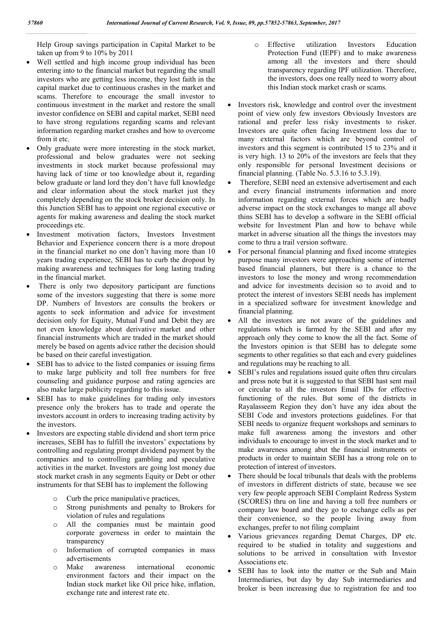Help Group savings participation in Capital Market to be taken up from 9 to 10% by 2011

- Well settled and high income group individual has been entering into to the financial market but regarding the small investors who are getting less income, they lost faith in the capital market due to continuous crashes in the market and scams. Therefore to encourage the small investor to continuous investment in the market and restore the small investor confidence on SEBI and capital market, SEBI need to have strong regulations regarding scams and relevant information regarding market crashes and how to overcome from it etc.
- Only graduate were more interesting in the stock market, professional and below graduates were not seeking investments in stock market because professional may having lack of time or too knowledge about it, regarding below graduate or land lord they don't have full knowledge and clear information about the stock market just they completely depending on the stock broker decision only. In this Junction SEBI has to appoint one regional executive or agents for making awareness and dealing the stock market proceedings etc.
- Investment motivation factors, Investors Investment Behavior and Experience concern there is a more dropout in the financial market no one don't having more than 10 years trading experience, SEBI has to curb the dropout by making awareness and techniques for long lasting trading in the financial market.
- There is only two depository participant are functions some of the investors suggesting that there is some more DP. Numbers of Investors are consults the brokers or agents to seek information and advice for investment decision only for Equity, Mutual Fund and Debit they are not even knowledge about derivative market and other financial instruments which are traded in the market should merely be based on agents advice rather the decision should be based on their careful investigation.
- SEBI has to advice to the listed companies or issuing firms to make large publicity and toll free numbers for free counseling and guidance purpose and rating agencies are also make large publicity regarding to this issue.
- SEBI has to make guidelines for trading only investors presence only the brokers has to trade and operate the investors account in orders to increasing trading activity by the investors.
- Investors are expecting stable dividend and short term price increases, SEBI has to fulfill the investors' expectations by controlling and regulating prompt dividend payment by the companies and to controlling gambling and speculative activities in the market. Investors are going lost money due stock market crash in any segments Equity or Debt or other instruments for that SEBI has to implement the following
	- o Curb the price manipulative practices,
	- o Strong punishments and penalty to Brokers for violation of rules and regulations
	- o All the companies must be maintain good corporate governess in order to maintain the transparency
	- o Information of corrupted companies in mass advertisements
	- o Make awareness international economic environment factors and their impact on the Indian stock market like Oil price hike, inflation, exchange rate and interest rate etc.
- o Effective utilization Investors Education Protection Fund (IEPF) and to make awareness among all the investors and there should transparency regarding IPF utilization. Therefore, the investors, does one really need to worry about this Indian stock market crash or scams.
- Investors risk, knowledge and control over the investment point of view only few investors Obviously Investors are rational and prefer less risky investments to risker. Investors are quite often facing Investment loss due to many external factors which are beyond control of investors and this segment is contributed 15 to 23% and it is very high. 13 to 20% of the investors are feels that they only responsible for personal Investment decisions or financial planning. (Table No. 5.3.16 to 5.3.19).
- Therefore, SEBI need an extensive advertisement and each and every financial instruments information and more information regarding external forces which are badly adverse impact on the stock exchanges to mange all above thins SEBI has to develop a software in the SEBI official website for Investment Plan and how to behave while market in adverse situation all the things the investors may come to thru a trail version software.
- For personal financial planning and fixed income strategies purpose many investors were approaching some of internet based financial planners, but there is a chance to the investors to lose the money and wrong recommendation and advice for investments decision so to avoid and to protect the interest of investors SEBI needs has implement in a specialized software for investment knowledge and financial planning.
- All the investors are not aware of the guidelines and regulations which is farmed by the SEBI and after my approach only they come to know the all the fact. Some of the Investors opinion is that SEBI has to delegate some segments to other regalities so that each and every guidelines and regulations may be reaching to all.
- SEBI's rules and regulations issued quite often thru circulars and press note but it is suggested to that SEBI hast sent mail or circular to all the investors Email IDs for effective functioning of the rules. But some of the districts in Rayalasseem Region they don't have any idea about the SEBI Code and investors protections guidelines. For that SEBI needs to organize frequent workshops and seminars to make full awareness among the investors and other individuals to encourage to invest in the stock market and to make awareness among abut the financial instruments or products in order to maintain SEBI has a strong role on to protection of interest of investors.
- There should be local tribunals that deals with the problems of investors in different districts of state, because we see very few people approach SEBI Complaint Redress System (SCORES) thru on line and having a toll free numbers or company law board and they go to exchange cells as per their convenience, so the people living away from exchanges, prefer to not filing complaint
- Various grievances regarding Demat Charges, DP etc. required to be studied in totality and suggestions and solutions to be arrived in consultation with Investor Associations etc.
- SEBI has to look into the matter or the Sub and Main Intermediaries, but day by day Sub intermediaries and broker is been increasing due to registration fee and too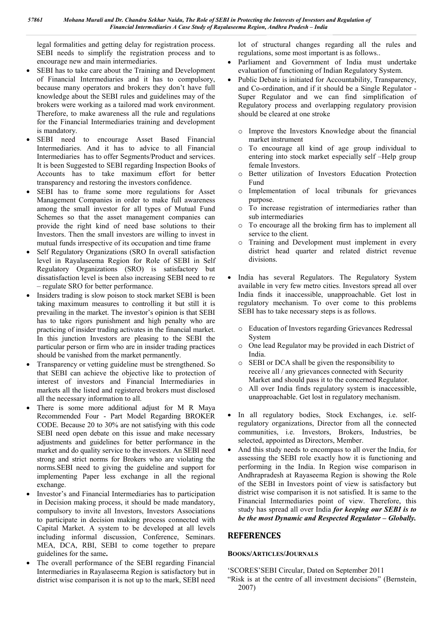legal formalities and getting delay for registration process. SEBI needs to simplify the registration process and to encourage new and main intermediaries.

- SEBI has to take care about the Training and Development of Financial Intermediaries and it has to compulsory, because many operators and brokers they don't have full knowledge about the SEBI rules and guidelines may of the brokers were working as a tailored mad work environment. Therefore, to make awareness all the rule and regulations for the Financial Intermediaries training and development is mandatory.
- SEBI need to encourage Asset Based Financial Intermediaries. And it has to advice to all Financial Intermediaries has to offer Segments/Product and services. It is been Suggested to SEBI regarding Inspection Books of Accounts has to take maximum effort for better transparency and restoring the investors confidence.
- SEBI has to frame some more regulations for Asset Management Companies in order to make full awareness among the small investor for all types of Mutual Fund Schemes so that the asset management companies can provide the right kind of need base solutions to their Investors. Then the small investors are willing to invest in mutual funds irrespective of its occupation and time frame
- Self Regulatory Organizations (SRO In overall satisfaction level in Rayalaseema Region for Role of SEBI in Self Regulatory Organizations (SRO) is satisfactory but dissatisfaction level is been also increasing SEBI need to re – regulate SRO for better performance.
- Insiders trading is slow poison to stock market SEBI is been taking maximum measures to controlling it but still it is prevailing in the market. The investor's opinion is that SEBI has to take rigors punishment and high penalty who are practicing of insider trading activates in the financial market. In this junction Investors are pleasing to the SEBI the particular person or firm who are in insider trading practices should be vanished from the market permanently.
- Transparency or vetting guideline must be strengthened. So that SEBI can achieve the objective like to protection of interest of investors and Financial Intermediaries in markets all the listed and registered brokers must disclosed all the necessary information to all.
- There is some more additional adjust for M R Maya Recommended Four - Part Model Regarding BROKER CODE. Because 20 to 30% are not satisfying with this code SEBI need open debate on this issue and make necessary adjustments and guidelines for better performance in the market and do quality service to the investors. An SEBI need strong and strict norms for Brokers who are violating the norms.SEBI need to giving the guideline and support for implementing Paper less exchange in all the regional exchange.
- Investor's and Financial Intermediaries has to participation in Decision making process, it should be made mandatory, compulsory to invite all Investors, Investors Associations to participate in decision making process connected with Capital Market. A system to be developed at all levels including informal discussion, Conference, Seminars. MEA, DCA, RBI, SEBI to come together to prepare guidelines for the same**.**
- The overall performance of the SEBI regarding Financial Intermediaries in Rayalaseema Region is satisfactory but in district wise comparison it is not up to the mark, SEBI need

lot of structural changes regarding all the rules and regulations, some most important is as follows..

- Parliament and Government of India must undertake evaluation of functioning of Indian Regulatory System.
- Public Debate is initiated for Accountability, Transparency, and Co-ordination, and if it should be a Single Regulator - Super Regulator and we can find simplification of Regulatory process and overlapping regulatory provision should be cleared at one stroke
	- Improve the Investors Knowledge about the financial market instrument
	- o To encourage all kind of age group individual to entering into stock market especially self –Help group female Investors.
	- o Better utilization of Investors Education Protection Fund
	- o Implementation of local tribunals for grievances purpose.
	- o To increase registration of intermediaries rather than sub intermediaries
	- o To encourage all the broking firm has to implement all service to the client.
	- o Training and Development must implement in every district head quarter and related district revenue divisions.
- India has several Regulators. The Regulatory System available in very few metro cities. Investors spread all over India finds it inaccessible, unapproachable. Get lost in regulatory mechanism. To over come to this problems SEBI has to take necessary steps is as follows.
	- o Education of Investors regarding Grievances Redressal System
	- o One lead Regulator may be provided in each District of India.
	- o SEBI or DCA shall be given the responsibility to receive all / any grievances connected with Security Market and should pass it to the concerned Regulator.
	- o All over India finds regulatory system is inaccessible, unapproachable. Get lost in regulatory mechanism.
- In all regulatory bodies, Stock Exchanges, i.e. selfregulatory organizations, Director from all the connected communities, i.e. Investors, Brokers, Industries, be selected, appointed as Directors, Member.
- And this study needs to encompass to all over the India, for assessing the SEBI role exactly how it is functioning and performing in the India. In Region wise comparison in Andhrapradesh at Rayaseema Region is showing the Role of the SEBI in Investors point of view is satisfactory but district wise comparison it is not satisfied. It is same to the Financial Intermediaries point of view. Therefore, this study has spread all over India *for keeping our SEBI is to be the most Dynamic and Respected Regulator – Globally.*

## **REFERENCES**

### **BOOKS/ARTICLES/JOURNALS**

'SCORES'SEBI Circular, Dated on September 2011

"Risk is at the centre of all investment decisions" (Bernstein, 2007)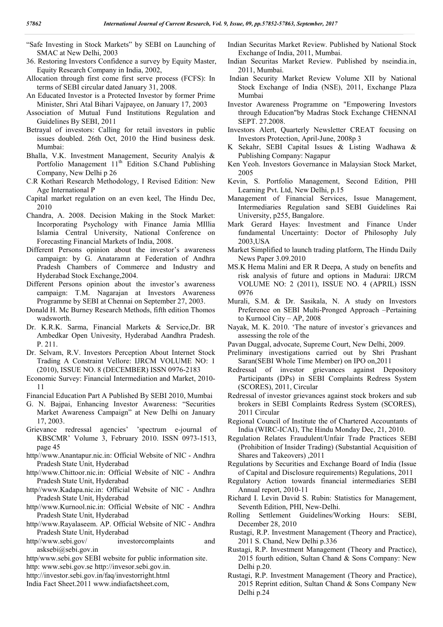- "Safe Investing in Stock Markets" by SEBI on Launching of SMAC at New Delhi, 2003
- 36. Restoring Investors Confidence a survey by Equity Master, Equity Research Company in India, 2002,
- Allocation through first come first serve process (FCFS): In terms of SEBI circular dated January 31, 2008.
- An Educated Investor is a Protected Investor by former Prime Minister, Shri Atal Bihari Vajpayee, on January 17, 2003
- Association of Mutual Fund Institutions Regulation and Guidelines By SEBI, 2011
- Betrayal of investors: Calling for retail investors in public issues doubled. 26th Oct, 2010 the Hind business desk. Mumbai:
- Bhalla, V.K. Investment Management, Security Analyis & Portfolio Management 11<sup>th</sup> Edition S.Chand Publishing Company, New Delhi p 26
- C.R Kothari Research Methodology, I Revised Edition: New Age International P
- Capital market regulation on an even keel, The Hindu Dec, 2010
- Chandra, A. 2008. Decision Making in the Stock Market: Incorporating Psychology with Finance Jamia MIllia Islamia Central University, National Conference on Forecasting Financial Markets of India, 2008.
- Different Persons opinion about the investor's awareness campaign: by G. Anataramn at Federation of Andhra Pradesh Chambers of Commerce and Industry and Hyderabad Stock Exchange,2004.
- Different Persons opinion about the investor's awareness campaign: T.M. Nagarajan at Investors Awareness Programme by SEBI at Chennai on September 27, 2003.
- Donald H. Mc Burney Research Methods, fifth edition Thomos wadsworth.
- Dr. K.R.K. Sarma, Financial Markets & Service,Dr. BR Ambedkar Open Univesity, Hyderabad Aandhra Pradesh. P. 211.
- Dr. Selvam, R.V. Investors Perception About Internet Stock Trading A Constraint Vellore: IJRCM VOLUME NO: 1 (2010), ISSUE NO. 8 (DECEMBER) ISSN 0976-2183
- Economic Survey: Financial Intermediation and Market, 2010- 11

Financial Education Part A Published By SEBI 2010, Mumbai

- G. N. Bajpai, Enhancing Investor Awareness: "Securities Market Awareness Campaign" at New Delhi on January 17, 2003.
- Grievance redressal agencies' 'spectrum e-journal of KBSCMR' Volume 3, February 2010. ISSN 0973-1513, page 45
- http//www.Anantapur.nic.in: Official Website of NIC Andhra Pradesh State Unit, Hyderabad
- http//www.Chittoor.nic.in: Official Website of NIC Andhra Pradesh State Unit, Hyderabad
- http//www.Kadapa.nic.in: Official Website of NIC Andhra Pradesh State Unit, Hyderabad
- http//www.Kurnool.nic.in: Official Website of NIC Andhra Pradesh State Unit, Hyderabad
- http//www.Rayalaseem. AP. Official Website of NIC Andhra Pradesh State Unit, Hyderabad
- http//www.sebi.gov/ investorcomplaints and asksebi@sebi.gov.in
- http/www.sebi.gov SEBI website for public information site.

http: www.sebi.gov.se http://invesor.sebi.gov.in.

- http://investor.sebi.gov.in/faq/investorright.html
- India Fact Sheet.2011 www.indiafactsheet.com,
- Indian Securitas Market Review. Published by National Stock Exchange of India, 2011, Mumbai.
- Indian Securitas Market Review. Published by nseindia.in, 2011, Mumbai.
- Indian Security Market Review Volume XII by National Stock Exchange of India (NSE), 2011, Exchange Plaza Mumbai
- Investor Awareness Programme on "Empowering Investors through Education"by Madras Stock Exchange CHENNAI SEPT. 27.2008.
- Investors Alert, Quarterly Newsletter CREAT focusing on Investors Protection, April-June, 2008p 3
- K Sekahr, SEBI Capital Issues & Listing Wadhawa & Publishing Company: Nagapur
- Ken Yeoh. Investors Governance in Malaysian Stock Market, 2005
- Kevin, S. Portfolio Management, Second Edition, PHI Learning Pvt. Ltd, New Delhi, p.15
- Management of Financial Services, Issue Management, Intermediaries Regulation sand SEBI Guidelines Rai University, p255, Bangalore.
- Mark Gerard Hayes: Investment and Finance Under fundamental Uncertainty: Doctor of Philosophy July 2003,USA
- Market Simplified to launch trading platform, The Hindu Daily News Paper 3.09.2010
- MS.K Hema Malini and ER R Deepa, A study on benefits and risk analysis of future and options in Madurai: IJRCM VOLUME NO: 2 (2011), ISSUE NO. 4 (APRIL) ISSN 0976
- Murali, S.M. & Dr. Sasikala, N. A study on Investors Preference on SEBI Multi-Pronged Approach –Pertaining to Kurnool City – AP, 2008
- Nayak, M. K. 2010. 'The nature of investor`s grievances and assessing the role of the
- Pavan Duggal, advocate, Supreme Court, New Delhi, 2009.
- Preliminary investigations carried out by Shri Prashant Saran(SEBI Whole Time Member) on IPO on,2011
- Redressal of investor grievances against Depository Participants (DPs) in SEBI Complaints Redress System (SCORES), 2011, Circular
- Redressal of investor grievances against stock brokers and sub brokers in SEBI Complaints Redress System (SCORES), 2011 Circular
- Regional Council of Institute the of Chartered Accountants of India (WIRC-ICAI), The Hindu Monday Dec, 21, 2010.
- Regulation Relates Fraudulent/Unfair Trade Practices SEBI (Prohibition of Insider Trading) (Substantial Acquisition of Shares and Takeovers) ,2011
- Regulations by Securities and Exchange Board of India (Issue of Capital and Disclosure requirements) Regulations, 2011
- Regulatory Action towards financial intermediaries SEBI Annual report, 2010-11
- Richard I. Levin David S. Rubin: Statistics for Management, Seventh Edition, PHI, New-Delhi.
- Rolling Settlement Guidelines/Working Hours: SEBI, December 28, 2010
- Rustagi, R.P. Investment Management (Theory and Practice), 2011 S. Chand, New Delhi p.336
- Rustagi, R.P. Investment Management (Theory and Practice), 2015 fourth edition, Sultan Chand & Sons Company: New Delhi p.20.
- Rustagi, R.P. Investment Management (Theory and Practice), 2015 Reprint edition, Sultan Chand & Sons Company New Delhi p.24